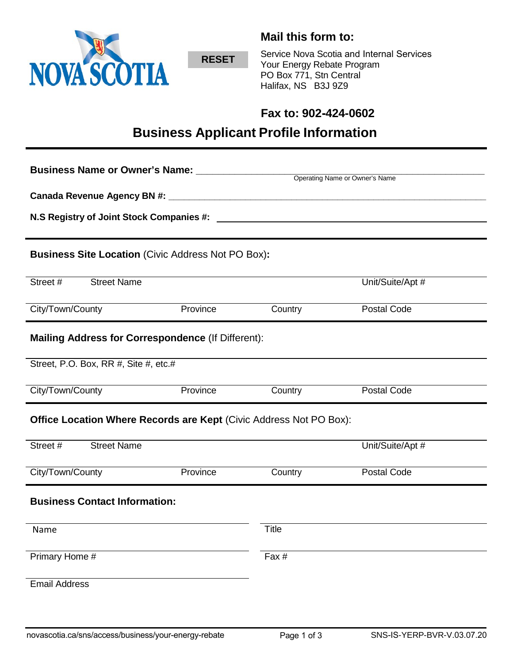

**RESET**

**Mail this form to:**

Service Nova Scotia and Internal Services Your Energy Rebate Program PO Box 771, Stn Central Halifax, NS B3J 9Z9

# **Fax to: 902-424-0602**

# **Business Applicant Profile Information**

| <b>Business Name or Owner's Name:</b>                                     |          |                                |                  |
|---------------------------------------------------------------------------|----------|--------------------------------|------------------|
|                                                                           |          | Operating Name or Owner's Name |                  |
|                                                                           |          |                                |                  |
| N.S Registry of Joint Stock Companies #: ________                         |          |                                |                  |
|                                                                           |          |                                |                  |
| <b>Business Site Location (Civic Address Not PO Box):</b>                 |          |                                |                  |
| Street #<br><b>Street Name</b>                                            |          |                                | Unit/Suite/Apt # |
| City/Town/County                                                          | Province | Country                        | Postal Code      |
| Mailing Address for Correspondence (If Different):                        |          |                                |                  |
| Street, P.O. Box, RR #, Site #, etc.#                                     |          |                                |                  |
| City/Town/County                                                          | Province | Country                        | Postal Code      |
| <b>Office Location Where Records are Kept (Civic Address Not PO Box):</b> |          |                                |                  |
| Street #<br><b>Street Name</b>                                            |          |                                | Unit/Suite/Apt # |
| City/Town/County                                                          | Province | Country                        | Postal Code      |
| <b>Business Contact Information:</b>                                      |          |                                |                  |
| Name                                                                      |          | Title                          |                  |
| Primary Home #                                                            |          | Fax #                          |                  |
| <b>Email Address</b>                                                      |          |                                |                  |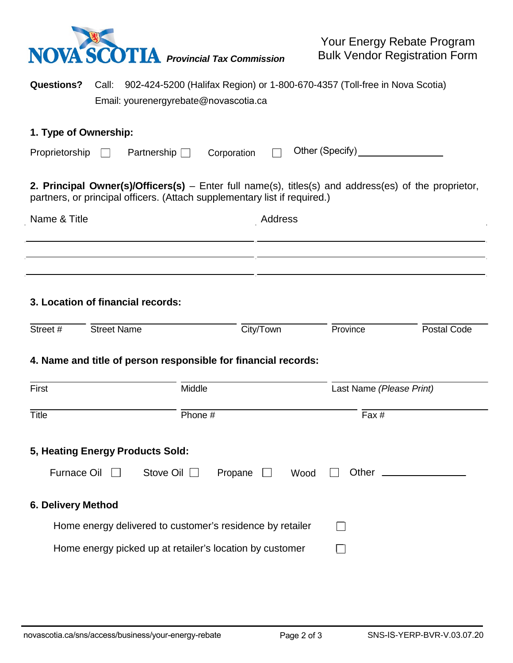

Your Energy Rebate Program Bulk Vendor Registration Form

**Questions?** Call: 902-424-5200 (Halifax Region) or 1-800-670-4357 (Toll-free in Nova Scotia) Email: yourenergyrebate@novascotia.ca

#### **1. Type of Ownership:**

J.

| Proprietorship $\Box$ |  | Partnership $\Box$ |  |  | Corporation □ Other (Specify)_ |
|-----------------------|--|--------------------|--|--|--------------------------------|
|-----------------------|--|--------------------|--|--|--------------------------------|

**2. Principal Owner(s)/Officers(s)** – Enter full name(s), titles(s) and address(es) of the proprietor, partners, or principal officers. (Attach supplementary list if required.)

| Name & Title | Address |
|--------------|---------|
|              |         |
|              |         |

# **3. Location of financial records:**

| Street # | <b>Street Name</b>                                             | City/Town | <b>Province</b> | Postal Code |
|----------|----------------------------------------------------------------|-----------|-----------------|-------------|
|          | 4. Name and title of person responsible for financial records: |           |                 |             |

| First                                                     | Middle          | Last Name (Please Print) |
|-----------------------------------------------------------|-----------------|--------------------------|
| <b>Title</b>                                              | Phone #         | Fax #                    |
| 5, Heating Energy Products Sold:                          |                 |                          |
| Stove Oil I<br><b>Furnace Oil</b>                         | Propane<br>Wood | Other                    |
| 6. Delivery Method                                        |                 |                          |
| Home energy delivered to customer's residence by retailer |                 |                          |
| Home energy picked up at retailer's location by customer  |                 |                          |